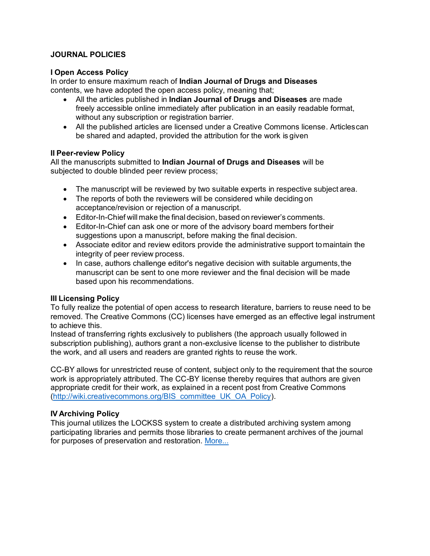## **JOURNAL POLICIES**

### **I Open Access Policy**

In order to ensure maximum reach of **Indian Journal of Drugs and Diseases** contents, we have adopted the open access policy, meaning that;

- All the articles published in **Indian Journal of Drugs and Diseases** are made freely accessible online immediately after publication in an easily readable format, without any subscription or registration barrier.
- All the published articles are licensed under a Creative Commons license. Articlescan be shared and adapted, provided the attribution for the work is given

### **II Peer-review Policy**

All the manuscripts submitted to **Indian Journal of Drugs and Diseases** will be subjected to double blinded peer review process;

- The manuscript will be reviewed by two suitable experts in respective subject area.
- The reports of both the reviewers will be considered while deciding on acceptance/revision or rejection of a manuscript.
- Editor-In-Chief will make the final decision, based on reviewer's comments.
- Editor-In-Chief can ask one or more of the advisory board members fortheir suggestions upon a manuscript, before making the final decision.
- Associate editor and review editors provide the administrative support tomaintain the integrity of peer review process.
- In case, authors challenge editor's negative decision with suitable arguments, the manuscript can be sent to one more reviewer and the final decision will be made based upon his recommendations.

## **III Licensing Policy**

To fully realize the potential of open access to research literature, barriers to reuse need to be removed. The Creative Commons (CC) licenses have emerged as an effective legal instrument to achieve this.

Instead of transferring rights exclusively to publishers (the approach usually followed in subscription publishing), authors grant a non-exclusive license to the publisher to distribute the work, and all users and readers are granted rights to reuse the work.

CC-BY allows for unrestricted reuse of content, subject only to the requirement that the source work is appropriately attributed. The CC-BY license thereby requires that authors are given appropriate credit for their work, as explained in a recent post from Creative Commons [\(http://wiki.creativecommons.org/BIS\\_committee\\_UK\\_OA\\_Policy\)](http://wiki.creativecommons.org/BIS_committee_UK_OA_Policy).

## **IV Archiving Policy**

This journal utilizes the LOCKSS system to create a distributed archiving system among participating libraries and permits those libraries to create permanent archives of the journal for purposes of preservation and restoration. [More...](https://www.lockss.org/)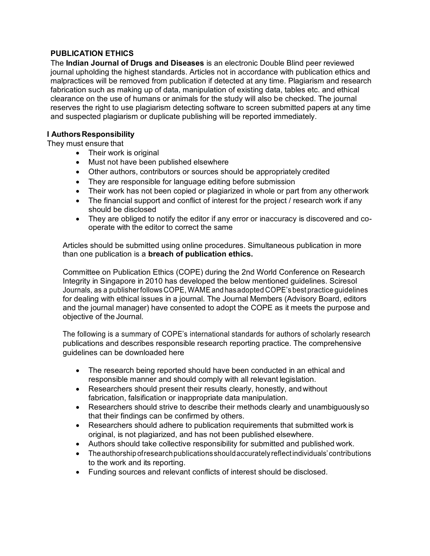# **PUBLICATION ETHICS**

The **Indian Journal of Drugs and Diseases** is an electronic Double Blind peer reviewed journal upholding the highest standards. Articles not in accordance with publication ethics and malpractices will be removed from publication if detected at any time. Plagiarism and research fabrication such as making up of data, manipulation of existing data, tables etc. and ethical clearance on the use of humans or animals for the study will also be checked. The journal reserves the right to use plagiarism detecting software to screen submitted papers at any time and suspected plagiarism or duplicate publishing will be reported immediately.

## **I Authors Responsibility**

They must ensure that

- Their work is original
- Must not have been published elsewhere
- Other authors, contributors or sources should be appropriately credited
- They are responsible for language editing before submission
- Their work has not been copied or plagiarized in whole or part from any otherwork
- The financial support and conflict of interest for the project / research work if any should be disclosed
- They are obliged to notify the editor if any error or inaccuracy is discovered and cooperate with the editor to correct the same

Articles should be submitted using online procedures. Simultaneous publication in more than one publication is a **breach of publication ethics.**

Committee on Publication Ethics (COPE) during the 2nd World Conference on Research Integrity in Singapore in 2010 has developed the below mentioned guidelines. Sciresol Journals, as a publisherfollows COPE, WAMEandhasadopted COPE'sbest practice guidelines for dealing with ethical issues in a journal. The Journal Members (Advisory Board, editors and the journal manager) have consented to adopt the COPE as it meets the purpose and objective of the Journal.

The following is a summary of COPE's international standards for authors of scholarly research publications and describes responsible research reporting practice. The comprehensive guidelines can be downloaded here

- The research being reported should have been conducted in an ethical and responsible manner and should comply with all relevant legislation.
- Researchers should present their results clearly, honestly, and without fabrication, falsification or inappropriate data manipulation.
- Researchers should strive to describe their methods clearly and unambiguouslyso that their findings can be confirmed by others.
- Researchers should adhere to publication requirements that submitted work is original, is not plagiarized, and has not been published elsewhere.
- Authors should take collective responsibility for submitted and published work.
- Theauthorship ofresearchpublications shouldaccurately reflectindividuals' contributions to the work and its reporting.
- Funding sources and relevant conflicts of interest should be disclosed.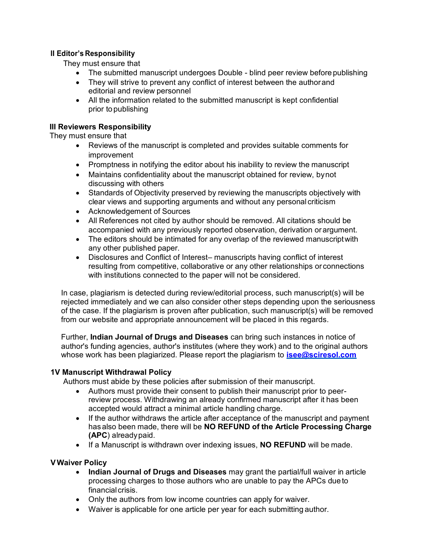# **II Editor's Responsibility**

They must ensure that

- The submitted manuscript undergoes Double blind peer review before publishing
- They will strive to prevent any conflict of interest between the author and editorial and review personnel
- All the information related to the submitted manuscript is kept confidential prior topublishing

## **III Reviewers Responsibility**

They must ensure that

- Reviews of the manuscript is completed and provides suitable comments for improvement
- Promptness in notifying the editor about his inability to review the manuscript
- Maintains confidentiality about the manuscript obtained for review, bynot discussing with others
- Standards of Objectivity preserved by reviewing the manuscripts objectively with clear views and supporting arguments and without any personal criticism
- Acknowledgement of Sources
- All References not cited by author should be removed. All citations should be accompanied with any previously reported observation, derivation orargument.
- The editors should be intimated for any overlap of the reviewed manuscriptwith any other published paper.
- Disclosures and Conflict of Interest– manuscripts having conflict of interest resulting from competitive, collaborative or any other relationships or connections with institutions connected to the paper will not be considered.

In case, plagiarism is detected during review/editorial process, such manuscript(s) will be rejected immediately and we can also consider other steps depending upon the seriousness of the case. If the plagiarism is proven after publication, such manuscript(s) will be removed from our website and appropriate announcement will be placed in this regards.

Further, **Indian Journal of Drugs and Diseases** can bring such instances in notice of author's funding agencies, author's institutes (where they work) and to the original authors whose work has been plagiarized. Please report the plagiarism to **isee@sciresol.com**

### **1V Manuscript Withdrawal Policy**

Authors must abide by these policies after submission of their manuscript.

- Authors must provide their consent to publish their manuscript prior to peerreview process. Withdrawing an already confirmed manuscript after it has been accepted would attract a minimal article handling charge.
- If the author withdraws the article after acceptance of the manuscript and payment hasalso been made, there will be **NO REFUND of the Article Processing Charge (APC**) alreadypaid.
- If a Manuscript is withdrawn over indexing issues, **NO REFUND** will be made.

#### **VWaiver Policy**

- **Indian Journal of Drugs and Diseases** may grant the partial/full waiver in article processing charges to those authors who are unable to pay the APCs dueto financial crisis.
- Only the authors from low income countries can apply for waiver.
- Waiver is applicable for one article per year for each submitting author.